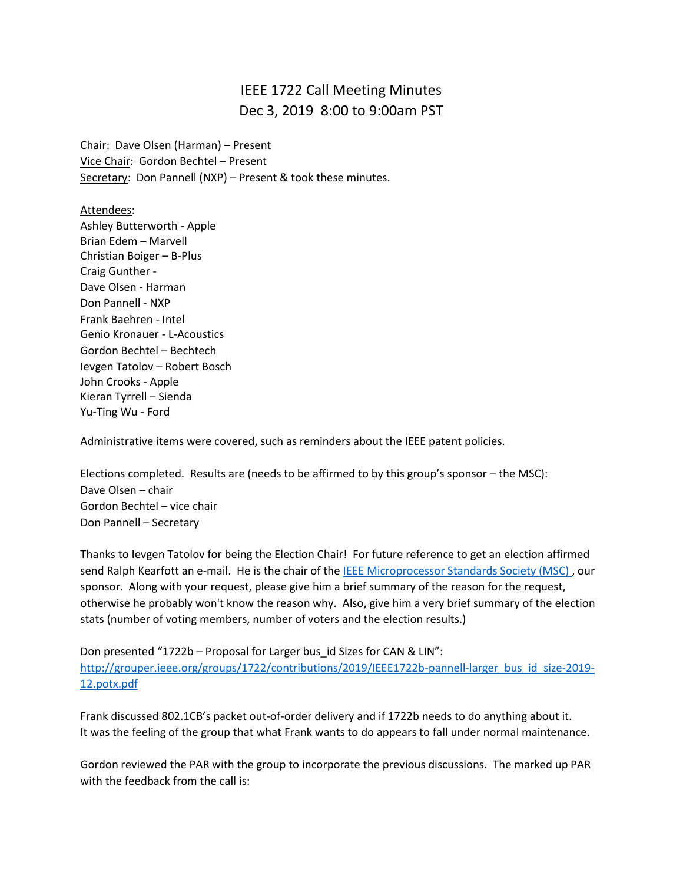## IEEE 1722 Call Meeting Minutes Dec 3, 2019 8:00 to 9:00am PST

Chair: Dave Olsen (Harman) – Present Vice Chair: Gordon Bechtel – Present Secretary: Don Pannell (NXP) - Present & took these minutes.

Attendees: Ashley Butterworth - Apple Brian Edem – Marvell Christian Boiger – B-Plus Craig Gunther - Dave Olsen - Harman Don Pannell - NXP Frank Baehren - Intel Genio Kronauer - L-Acoustics Gordon Bechtel – Bechtech Ievgen Tatolov – Robert Bosch John Crooks - Apple Kieran Tyrrell – Sienda Yu-Ting Wu - Ford

Administrative items were covered, such as reminders about the IEEE patent policies.

Elections completed. Results are (needs to be affirmed to by this group's sponsor – the MSC): Dave Olsen – chair Gordon Bechtel – vice chair Don Pannell – Secretary

Thanks to Ievgen Tatolov for being the Election Chair! For future reference to get an election affirmed send Ralph Kearfott an e-mail. He is the chair of th[e IEEE Microprocessor Standards Society \(MSC\)](https://eur01.safelinks.protection.outlook.com/?url=http%3A%2F%2Fgrouper.ieee.org%2Fgroups%2Fmsc%2F&data=02%7C01%7Cdonald.pannell%40nxp.com%7Ca8221fdec03f452f249208d7781b49f8%7C686ea1d3bc2b4c6fa92cd99c5c301635%7C0%7C0%7C637109930911505380&sdata=wcQrvG3bIj%2B6EGFeCCEDADqIkSZfhgW2HrSwvbxCnbs%3D&reserved=0) , our sponsor. Along with your request, please give him a brief summary of the reason for the request, otherwise he probably won't know the reason why. Also, give him a very brief summary of the election stats (number of voting members, number of voters and the election results.)

Don presented "1722b – Proposal for Larger bus\_id Sizes for CAN & LIN": [http://grouper.ieee.org/groups/1722/contributions/2019/IEEE1722b-pannell-larger\\_bus\\_id\\_size-2019-](http://grouper.ieee.org/groups/1722/contributions/2019/IEEE1722b-pannell-larger_bus_id_size-2019-12.potx.pdf) [12.potx.pdf](http://grouper.ieee.org/groups/1722/contributions/2019/IEEE1722b-pannell-larger_bus_id_size-2019-12.potx.pdf)

Frank discussed 802.1CB's packet out-of-order delivery and if 1722b needs to do anything about it. It was the feeling of the group that what Frank wants to do appears to fall under normal maintenance.

Gordon reviewed the PAR with the group to incorporate the previous discussions. The marked up PAR with the feedback from the call is: